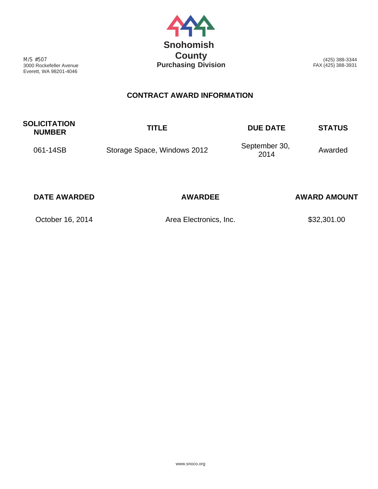

M/S #507 3000 Rockefeller Avenue Everett, WA 98201-4046

(425) 388-3344 FAX (425) 388-3931

## **CONTRACT AWARD INFORMATION**

| <b>SOLICITATION</b><br><b>NUMBER</b> | <b>TITLE</b>                | <b>DUE DATE</b>       | <b>STATUS</b> |
|--------------------------------------|-----------------------------|-----------------------|---------------|
| 061-14SB                             | Storage Space, Windows 2012 | September 30,<br>2014 | Awarded       |

| <b>DATE AWARDED</b> | <b>AWARDEE</b>         | <b>AWARD AMOUNT</b> |
|---------------------|------------------------|---------------------|
| October 16, 2014    | Area Electronics, Inc. | \$32,301.00         |